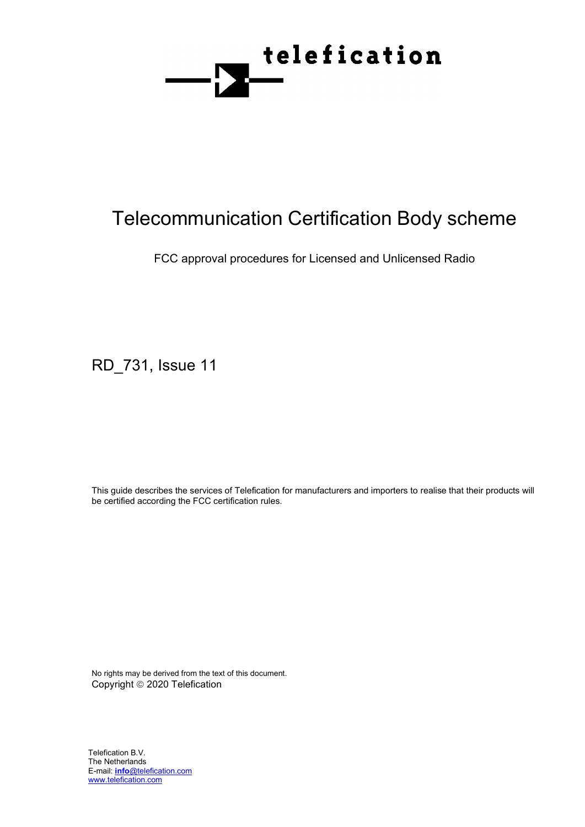

# Telecommunication Certification Body scheme

FCC approval procedures for Licensed and Unlicensed Radio

RD\_731, Issue 11

This guide describes the services of Telefication for manufacturers and importers to realise that their products will be certified according the FCC certification rules.

No rights may be derived from the text of this document. Copyright © 2020 Telefication

Telefication B.V. The Netherlands E-mail: **info**@telefication.com www.telefication.com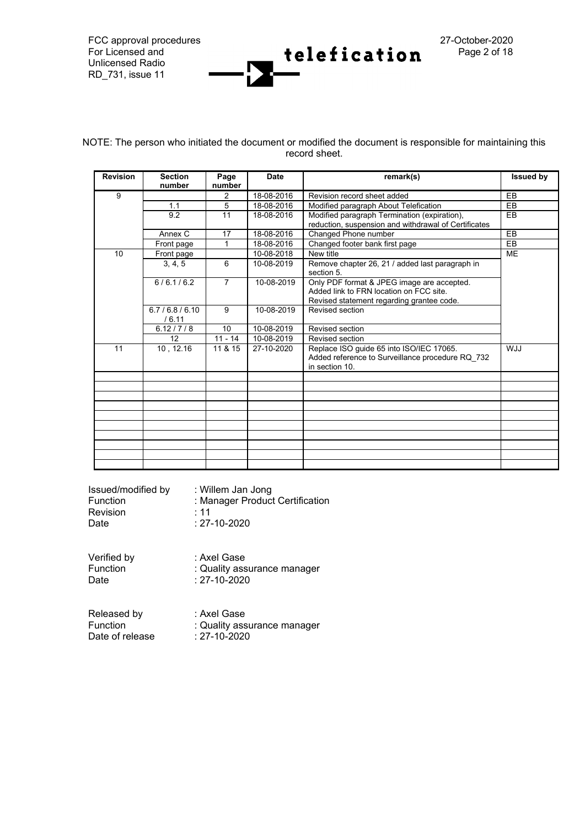FCC approval procedures 27-October-2020<br>For Licensed and 27-0 **+ alafination** 27-October-2020 Unlicensed Radio RD\_731, issue 11

NOTE: The person who initiated the document or modified the document is responsible for maintaining this record sheet.

telefication

| <b>Revision</b> | <b>Section</b><br>number                                                                         | Page<br>number | <b>Date</b>                                      | remark(s)                                                                                                                          | <b>Issued by</b> |
|-----------------|--------------------------------------------------------------------------------------------------|----------------|--------------------------------------------------|------------------------------------------------------------------------------------------------------------------------------------|------------------|
| 9<br>1.1<br>9.2 |                                                                                                  | 2              | 18-08-2016                                       | Revision record sheet added                                                                                                        | EB               |
|                 |                                                                                                  | 5              | 18-08-2016                                       | Modified paragraph About Telefication                                                                                              | EB               |
|                 |                                                                                                  | 11             | 18-08-2016                                       | Modified paragraph Termination (expiration),<br>reduction, suspension and withdrawal of Certificates                               | EB               |
|                 | Annex C                                                                                          | 17             | 18-08-2016                                       | Changed Phone number                                                                                                               | EB               |
|                 | Front page                                                                                       | 1              | 18-08-2016                                       | Changed footer bank first page                                                                                                     | EB               |
| 10              | Front page                                                                                       |                | 10-08-2018                                       | New title                                                                                                                          | <b>ME</b>        |
| 3.4.5           |                                                                                                  | 6              | 10-08-2019                                       | Remove chapter 26, 21 / added last paragraph in<br>section 5.                                                                      |                  |
|                 | 6/6.1/6.2                                                                                        | $\overline{7}$ | 10-08-2019                                       | Only PDF format & JPEG image are accepted.<br>Added link to FRN location on FCC site.<br>Revised statement regarding grantee code. |                  |
|                 | 6.7/6.8/6.10<br>/6.11                                                                            | 9              | 10-08-2019                                       | Revised section                                                                                                                    |                  |
|                 | 6.12 / 7 / 8                                                                                     | 10             | 10-08-2019                                       | Revised section                                                                                                                    |                  |
|                 | 12                                                                                               | $11 - 14$      | 10-08-2019                                       | Revised section                                                                                                                    |                  |
| 11              | 10, 12.16<br>11 & 15<br>27-10-2020<br>Replace ISO guide 65 into ISO/IEC 17065.<br>in section 10. |                | Added reference to Surveillance procedure RQ 732 | <b>WJJ</b>                                                                                                                         |                  |
|                 |                                                                                                  |                |                                                  |                                                                                                                                    |                  |
|                 |                                                                                                  |                |                                                  |                                                                                                                                    |                  |
|                 |                                                                                                  |                |                                                  |                                                                                                                                    |                  |
|                 |                                                                                                  |                |                                                  |                                                                                                                                    |                  |
|                 |                                                                                                  |                |                                                  |                                                                                                                                    |                  |
|                 |                                                                                                  |                |                                                  |                                                                                                                                    |                  |
|                 |                                                                                                  |                |                                                  |                                                                                                                                    |                  |
|                 |                                                                                                  |                |                                                  |                                                                                                                                    |                  |
|                 |                                                                                                  |                |                                                  |                                                                                                                                    |                  |
|                 |                                                                                                  |                |                                                  |                                                                                                                                    |                  |

| Issued/modified by | : Willem Jan Jong               |
|--------------------|---------------------------------|
| Function           | : Manager Product Certification |
| Revision           | : 11                            |
| Date               | $: 27 - 10 - 2020$              |
| Verified by        | : Axel Gase                     |
| Function           | : Quality assurance manager     |
| Date               | $: 27 - 10 - 2020$              |
| Released by        | : Axel Gase                     |
| Function           | : Quality assurance manager     |
| Date of release    | : 27-10-2020                    |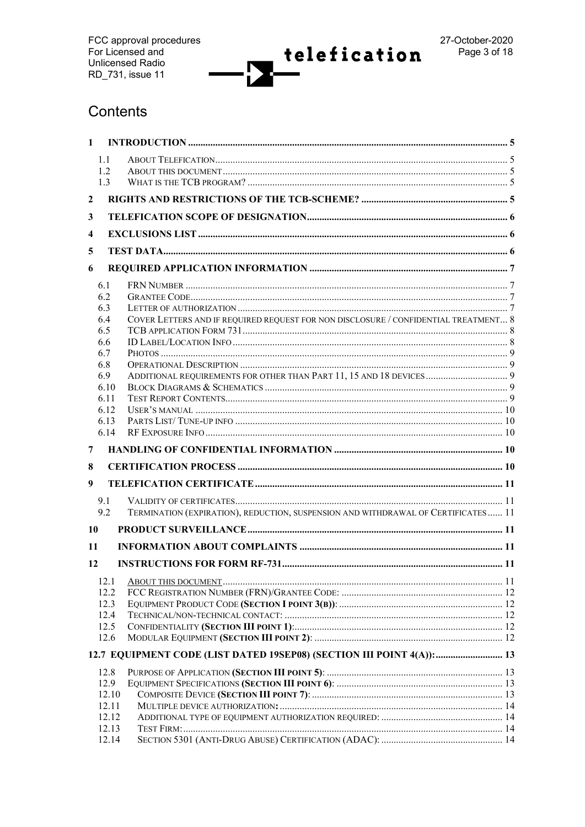Г

# Contents

| $\mathbf{1}$   |                |                                                                                     |  |
|----------------|----------------|-------------------------------------------------------------------------------------|--|
|                | 1.1            |                                                                                     |  |
|                | 1.2            |                                                                                     |  |
|                | 1.3            |                                                                                     |  |
| $\overline{2}$ |                |                                                                                     |  |
| 3              |                |                                                                                     |  |
| 4              |                |                                                                                     |  |
| 5              |                |                                                                                     |  |
| 6              |                |                                                                                     |  |
|                | 6.1            |                                                                                     |  |
|                | 6.2            |                                                                                     |  |
|                | 6.3            |                                                                                     |  |
|                | 6.4            | COVER LETTERS AND IF REQUIRED REQUEST FOR NON DISCLOSURE / CONFIDENTIAL TREATMENT 8 |  |
|                | 6.5            |                                                                                     |  |
|                | 6.6            |                                                                                     |  |
|                | 6.7            |                                                                                     |  |
|                | 6.8            |                                                                                     |  |
|                | 6.9            | ADDITIONAL REQUIREMENTS FOR OTHER THAN PART 11, 15 AND 18 DEVICES  9                |  |
|                | 6.10           |                                                                                     |  |
|                | 6.11           |                                                                                     |  |
|                | 6.12           |                                                                                     |  |
|                | 6.13           |                                                                                     |  |
|                | 6.14           |                                                                                     |  |
| 7              |                |                                                                                     |  |
| 8              |                |                                                                                     |  |
| 9              |                |                                                                                     |  |
|                | 9.1            |                                                                                     |  |
|                | 9.2            | TERMINATION (EXPIRATION), REDUCTION, SUSPENSION AND WITHDRAWAL OF CERTIFICATES 11   |  |
| 10             |                |                                                                                     |  |
| 11             |                |                                                                                     |  |
| 12             |                |                                                                                     |  |
|                |                |                                                                                     |  |
|                | 12.1<br>12.2   |                                                                                     |  |
|                | 12.3           |                                                                                     |  |
|                | 12.4           |                                                                                     |  |
|                | 12.5           |                                                                                     |  |
|                | 12.6           |                                                                                     |  |
|                |                |                                                                                     |  |
|                |                |                                                                                     |  |
|                |                | 12.7 EQUIPMENT CODE (LIST DATED 19SEP08) (SECTION III POINT 4(A)): 13               |  |
|                | 12.8           |                                                                                     |  |
|                | 12.9           |                                                                                     |  |
|                | 12.10          |                                                                                     |  |
|                | 12.11          |                                                                                     |  |
|                | 12.12          |                                                                                     |  |
|                | 12.13<br>12.14 |                                                                                     |  |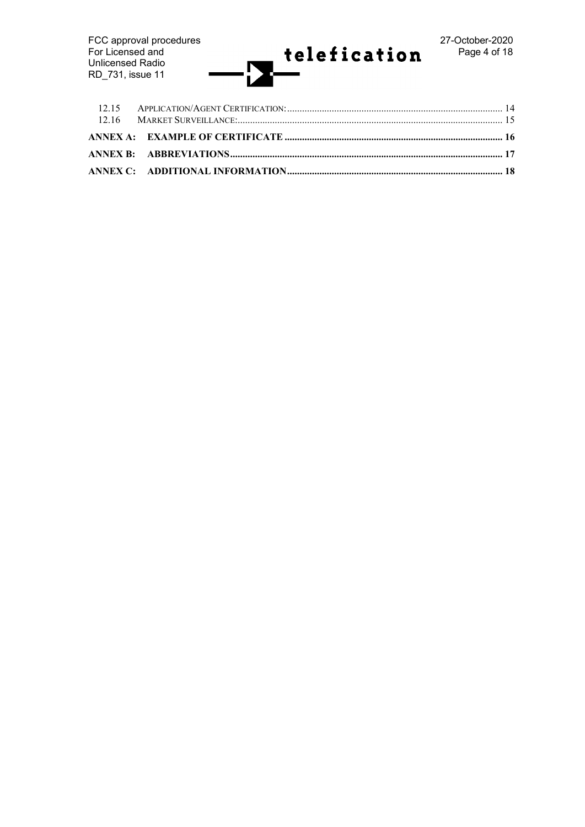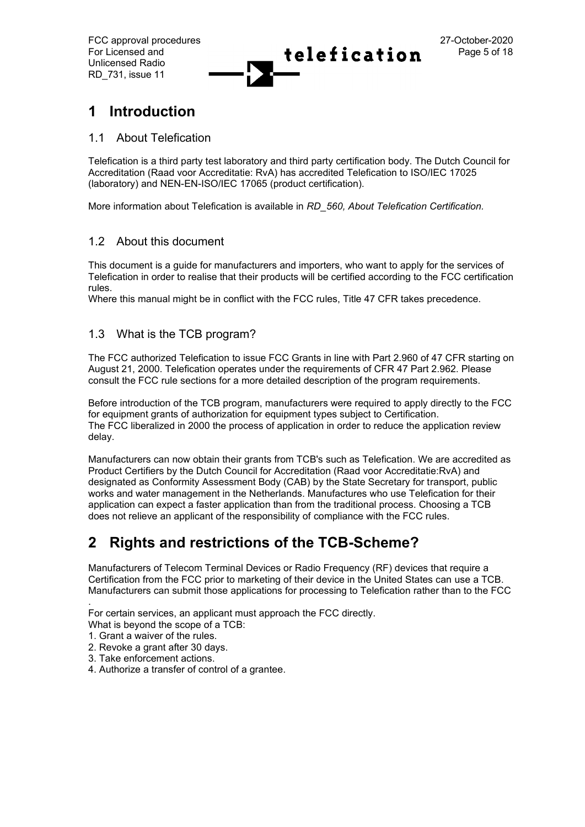

# **1 Introduction**

### 1.1 About Telefication

Telefication is a third party test laboratory and third party certification body. The Dutch Council for Accreditation (Raad voor Accreditatie: RvA) has accredited Telefication to ISO/IEC 17025 (laboratory) and NEN-EN-ISO/IEC 17065 (product certification).

More information about Telefication is available in *RD\_560, About Telefication Certification.*

### 1.2 About this document

This document is a guide for manufacturers and importers, who want to apply for the services of Telefication in order to realise that their products will be certified according to the FCC certification rules.

Where this manual might be in conflict with the FCC rules, Title 47 CFR takes precedence.

### 1.3 What is the TCB program?

The FCC authorized Telefication to issue FCC Grants in line with Part 2.960 of 47 CFR starting on August 21, 2000. Telefication operates under the requirements of CFR 47 Part 2.962. Please consult the FCC rule sections for a more detailed description of the program requirements.

Before introduction of the TCB program, manufacturers were required to apply directly to the FCC for equipment grants of authorization for equipment types subject to Certification. The FCC liberalized in 2000 the process of application in order to reduce the application review delay.

Manufacturers can now obtain their grants from TCB's such as Telefication. We are accredited as Product Certifiers by the Dutch Council for Accreditation (Raad voor Accreditatie:RvA) and designated as Conformity Assessment Body (CAB) by the State Secretary for transport, public works and water management in the Netherlands. Manufactures who use Telefication for their application can expect a faster application than from the traditional process. Choosing a TCB does not relieve an applicant of the responsibility of compliance with the FCC rules.

# **2 Rights and restrictions of the TCB-Scheme?**

Manufacturers of Telecom Terminal Devices or Radio Frequency (RF) devices that require a Certification from the FCC prior to marketing of their device in the United States can use a TCB. Manufacturers can submit those applications for processing to Telefication rather than to the FCC

For certain services, an applicant must approach the FCC directly.

- What is beyond the scope of a TCB:
- 1. Grant a waiver of the rules.

.

- 2. Revoke a grant after 30 days.
- 3. Take enforcement actions.
- 4. Authorize a transfer of control of a grantee.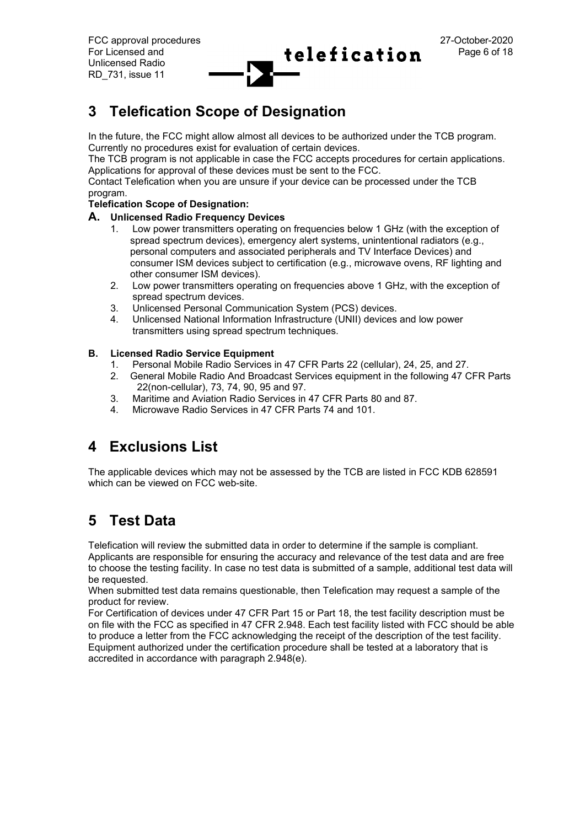# **3 Telefication Scope of Designation**

In the future, the FCC might allow almost all devices to be authorized under the TCB program. Currently no procedures exist for evaluation of certain devices.

The TCB program is not applicable in case the FCC accepts procedures for certain applications. Applications for approval of these devices must be sent to the FCC.

Contact Telefication when you are unsure if your device can be processed under the TCB program.

#### **Telefication Scope of Designation:**

#### **A. Unlicensed Radio Frequency Devices**

- 1. Low power transmitters operating on frequencies below 1 GHz (with the exception of spread spectrum devices), emergency alert systems, unintentional radiators (e.g., personal computers and associated peripherals and TV Interface Devices) and consumer ISM devices subject to certification (e.g., microwave ovens, RF lighting and other consumer ISM devices).
- 2. Low power transmitters operating on frequencies above 1 GHz, with the exception of spread spectrum devices.
- 3. Unlicensed Personal Communication System (PCS) devices.
- 4. Unlicensed National Information Infrastructure (UNII) devices and low power transmitters using spread spectrum techniques.

#### **B. Licensed Radio Service Equipment**

- 1. Personal Mobile Radio Services in 47 CFR Parts 22 (cellular), 24, 25, and 27.
- 2. General Mobile Radio And Broadcast Services equipment in the following 47 CFR Parts 22(non-cellular), 73, 74, 90, 95 and 97.
- 3. Maritime and Aviation Radio Services in 47 CFR Parts 80 and 87.
- 4. Microwave Radio Services in 47 CFR Parts 74 and 101.

# **4 Exclusions List**

The applicable devices which may not be assessed by the TCB are listed in FCC KDB 628591 which can be viewed on FCC web-site.

# **5 Test Data**

Telefication will review the submitted data in order to determine if the sample is compliant.

Applicants are responsible for ensuring the accuracy and relevance of the test data and are free to choose the testing facility. In case no test data is submitted of a sample, additional test data will be requested.

When submitted test data remains questionable, then Telefication may request a sample of the product for review.

For Certification of devices under 47 CFR Part 15 or Part 18, the test facility description must be on file with the FCC as specified in 47 CFR 2.948. Each test facility listed with FCC should be able to produce a letter from the FCC acknowledging the receipt of the description of the test facility. Equipment authorized under the certification procedure shall be tested at a laboratory that is accredited in accordance with paragraph 2.948(e).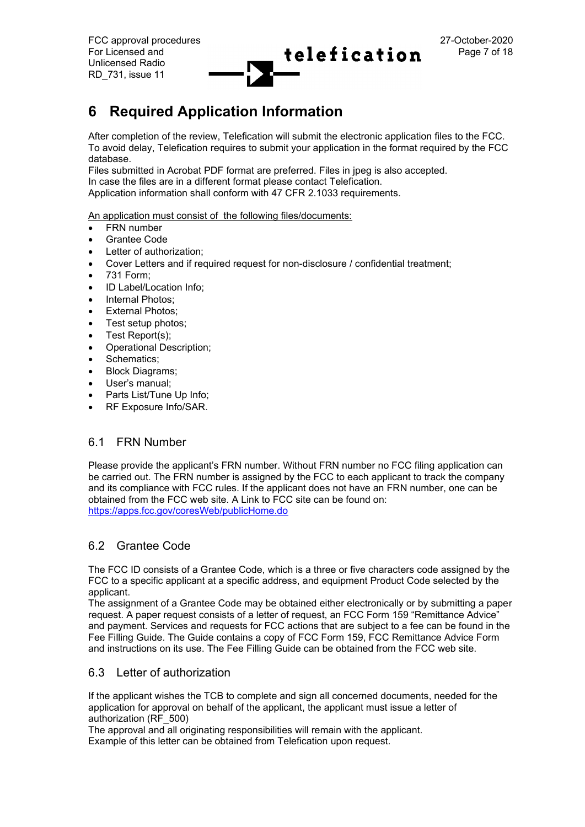# **6 Required Application Information**

After completion of the review, Telefication will submit the electronic application files to the FCC. To avoid delay, Telefication requires to submit your application in the format required by the FCC database.

Files submitted in Acrobat PDF format are preferred. Files in jpeg is also accepted. In case the files are in a different format please contact Telefication. Application information shall conform with 47 CFR 2.1033 requirements.

An application must consist of the following files/documents:

- FRN number
- Grantee Code
- Letter of authorization;
- Cover Letters and if required request for non-disclosure / confidential treatment;
- 731 Form;
- ID Label/Location Info:
- Internal Photos:
- **External Photos:**
- Test setup photos;
- Test Report(s);
- Operational Description;
- Schematics;
- Block Diagrams;
- User's manual:
- Parts List/Tune Up Info:
- RF Exposure Info/SAR.

### 6.1 FRN Number

Please provide the applicant's FRN number. Without FRN number no FCC filing application can be carried out. The FRN number is assigned by the FCC to each applicant to track the company and its compliance with FCC rules. If the applicant does not have an FRN number, one can be obtained from the FCC web site. A Link to FCC site can be found on: <https://apps.fcc.gov/coresWeb/publicHome.do>

### 6.2 Grantee Code

The FCC ID consists of a Grantee Code, which is a three or five characters code assigned by the FCC to a specific applicant at a specific address, and equipment Product Code selected by the applicant.

The assignment of a Grantee Code may be obtained either electronically or by submitting a paper request. A paper request consists of a letter of request, an FCC Form 159 "Remittance Advice" and payment. Services and requests for FCC actions that are subject to a fee can be found in the Fee Filling Guide. The Guide contains a copy of FCC Form 159, FCC Remittance Advice Form and instructions on its use. The Fee Filling Guide can be obtained from the FCC web site.

### 6.3 Letter of authorization

If the applicant wishes the TCB to complete and sign all concerned documents, needed for the application for approval on behalf of the applicant, the applicant must issue a letter of authorization (RF\_500)

The approval and all originating responsibilities will remain with the applicant. Example of this letter can be obtained from Telefication upon request.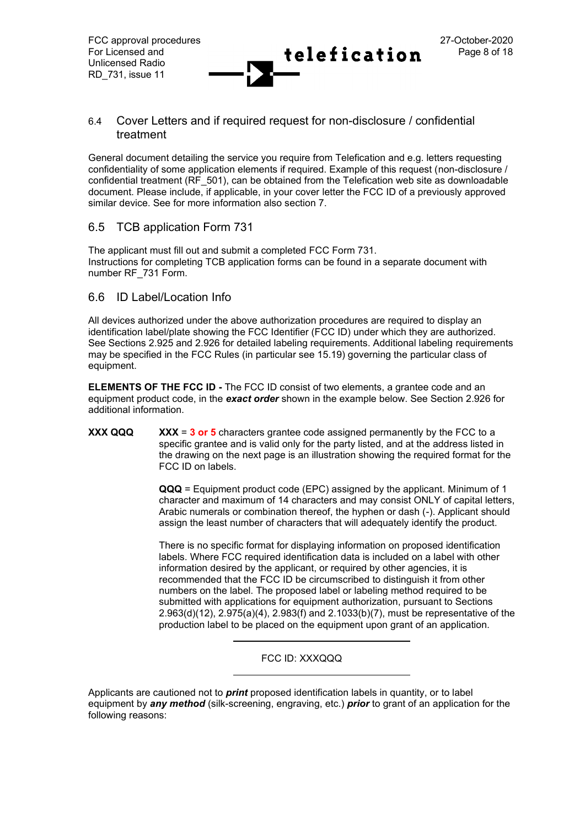#### 6.4 Cover Letters and if required request for non-disclosure / confidential treatment

General document detailing the service you require from Telefication and e.g. letters requesting confidentiality of some application elements if required. Example of this request (non-disclosure / confidential treatment (RF\_501), can be obtained from the Telefication web site as downloadable document. Please include, if applicable, in your cover letter the FCC ID of a previously approved similar device. See for more information also section 7.

### 6.5 TCB application Form 731

The applicant must fill out and submit a completed FCC Form 731. Instructions for completing TCB application forms can be found in a separate document with number RF\_731 Form.

### 6.6 ID Label/Location Info

All devices authorized under the above authorization procedures are required to display an identification label/plate showing the FCC Identifier (FCC ID) under which they are authorized. See Sections 2.925 and 2.926 for detailed labeling requirements. Additional labeling requirements may be specified in the FCC Rules (in particular see 15.19) governing the particular class of equipment.

**ELEMENTS OF THE FCC ID -** The FCC ID consist of two elements, a grantee code and an equipment product code, in the *exact order* shown in the example below. See Section 2.926 for additional information.

**XXX QQQ XXX** = **3 or 5** characters grantee code assigned permanently by the FCC to a specific grantee and is valid only for the party listed, and at the address listed in the drawing on the next page is an illustration showing the required format for the FCC ID on labels.

> **QQQ** = Equipment product code (EPC) assigned by the applicant. Minimum of 1 character and maximum of 14 characters and may consist ONLY of capital letters, Arabic numerals or combination thereof, the hyphen or dash (-). Applicant should assign the least number of characters that will adequately identify the product.

> There is no specific format for displaying information on proposed identification labels. Where FCC required identification data is included on a label with other information desired by the applicant, or required by other agencies, it is recommended that the FCC ID be circumscribed to distinguish it from other numbers on the label. The proposed label or labeling method required to be submitted with applications for equipment authorization, pursuant to Sections 2.963(d)(12), 2.975(a)(4), 2.983(f) and 2.1033(b)(7), must be representative of the production label to be placed on the equipment upon grant of an application.

#### FCC ID: XXXQQQ

Applicants are cautioned not to *print* proposed identification labels in quantity, or to label equipment by *any method* (silk-screening, engraving, etc.) *prior* to grant of an application for the following reasons: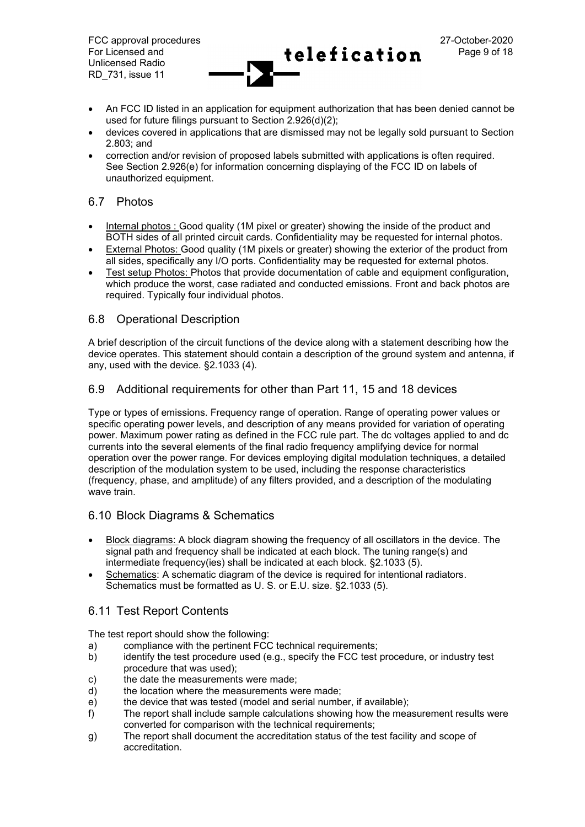FCC approval procedures 27-October-2020 For Licensed and  $\text{telefication}$   $\text{Page 9 of 18}$ Unlicensed Radio RD\_731, issue 11

- 
- An FCC ID listed in an application for equipment authorization that has been denied cannot be used for future filings pursuant to Section 2.926(d)(2);
- devices covered in applications that are dismissed may not be legally sold pursuant to Section 2.803; and
- correction and/or revision of proposed labels submitted with applications is often required. See Section 2.926(e) for information concerning displaying of the FCC ID on labels of unauthorized equipment.

### 6.7 Photos

- Internal photos : Good quality (1M pixel or greater) showing the inside of the product and BOTH sides of all printed circuit cards. Confidentiality may be requested for internal photos.
- External Photos: Good quality (1M pixels or greater) showing the exterior of the product from all sides, specifically any I/O ports. Confidentiality may be requested for external photos.
- Test setup Photos: Photos that provide documentation of cable and equipment configuration, which produce the worst, case radiated and conducted emissions. Front and back photos are required. Typically four individual photos.

#### 6.8 Operational Description

A brief description of the circuit functions of the device along with a statement describing how the device operates. This statement should contain a description of the ground system and antenna, if any, used with the device. §2.1033 (4).

### 6.9 Additional requirements for other than Part 11, 15 and 18 devices

Type or types of emissions. Frequency range of operation. Range of operating power values or specific operating power levels, and description of any means provided for variation of operating power. Maximum power rating as defined in the FCC rule part. The dc voltages applied to and dc currents into the several elements of the final radio frequency amplifying device for normal operation over the power range. For devices employing digital modulation techniques, a detailed description of the modulation system to be used, including the response characteristics (frequency, phase, and amplitude) of any filters provided, and a description of the modulating wave train.

### 6.10 Block Diagrams & Schematics

- Block diagrams: A block diagram showing the frequency of all oscillators in the device. The signal path and frequency shall be indicated at each block. The tuning range(s) and intermediate frequency(ies) shall be indicated at each block. §2.1033 (5).
- Schematics: A schematic diagram of the device is required for intentional radiators. Schematics must be formatted as U. S. or E.U. size. §2.1033 (5).

### 6.11 Test Report Contents

The test report should show the following:

- a) compliance with the pertinent FCC technical requirements;
- b) identify the test procedure used (e.g., specify the FCC test procedure, or industry test procedure that was used);
- c) the date the measurements were made;
- d) the location where the measurements were made;
- e) the device that was tested (model and serial number, if available);
- f) The report shall include sample calculations showing how the measurement results were converted for comparison with the technical requirements;
- g) The report shall document the accreditation status of the test facility and scope of accreditation.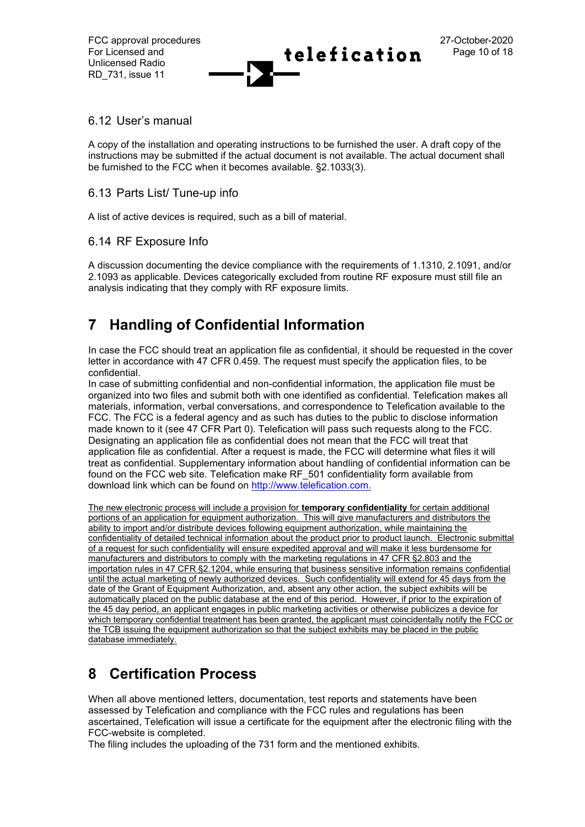### 6.12 User's manual

A copy of the installation and operating instructions to be furnished the user. A draft copy of the instructions may be submitted if the actual document is not available. The actual document shall be furnished to the FCC when it becomes available. §2.1033(3).

### 6.13 Parts List/ Tune-up info

A list of active devices is required, such as a bill of material.

### 6.14 RF Exposure Info

A discussion documenting the device compliance with the requirements of 1.1310, 2.1091, and/or 2.1093 as applicable. Devices categorically excluded from routine RF exposure must still file an analysis indicating that they comply with RF exposure limits.

# **7 Handling of Confidential Information**

In case the FCC should treat an application file as confidential, it should be requested in the cover letter in accordance with 47 CFR 0.459. The request must specify the application files, to be confidential.

In case of submitting confidential and non-confidential information, the application file must be organized into two files and submit both with one identified as confidential. Telefication makes all materials, information, verbal conversations, and correspondence to Telefication available to the FCC. The FCC is a federal agency and as such has duties to the public to disclose information made known to it (see 47 CFR Part 0). Telefication will pass such requests along to the FCC. Designating an application file as confidential does not mean that the FCC will treat that application file as confidential. After a request is made, the FCC will determine what files it will treat as confidential. Supplementary information about handling of confidential information can be found on the FCC web site. Telefication make RF\_501 confidentiality form available from download link which can be found on [http://www.telefication.com.](http://www.telefication.com/)

The new electronic process will include a provision for **temporary confidentiality** for certain additional portions of an application for equipment authorization. This will give manufacturers and distributors the ability to import and/or distribute devices following equipment authorization, while maintaining the confidentiality of detailed technical information about the product prior to product launch. Electronic submittal of a request for such confidentiality will ensure expedited approval and will make it less burdensome for manufacturers and distributors to comply with the marketing regulations in 47 CFR §2.803 and the importation rules in 47 CFR §2.1204, while ensuring that business sensitive information remains confidential until the actual marketing of newly authorized devices. Such confidentiality will extend for 45 days from the date of the Grant of Equipment Authorization, and, absent any other action, the subject exhibits will be automatically placed on the public database at the end of this period. However, if prior to the expiration of the 45 day period, an applicant engages in public marketing activities or otherwise publicizes a device for which temporary confidential treatment has been granted, the applicant must coincidentally notify the FCC or the TCB issuing the equipment authorization so that the subject exhibits may be placed in the public database immediately.

# **8 Certification Process**

When all above mentioned letters, documentation, test reports and statements have been assessed by Telefication and compliance with the FCC rules and regulations has been ascertained, Telefication will issue a certificate for the equipment after the electronic filing with the FCC-website is completed.

The filing includes the uploading of the 731 form and the mentioned exhibits.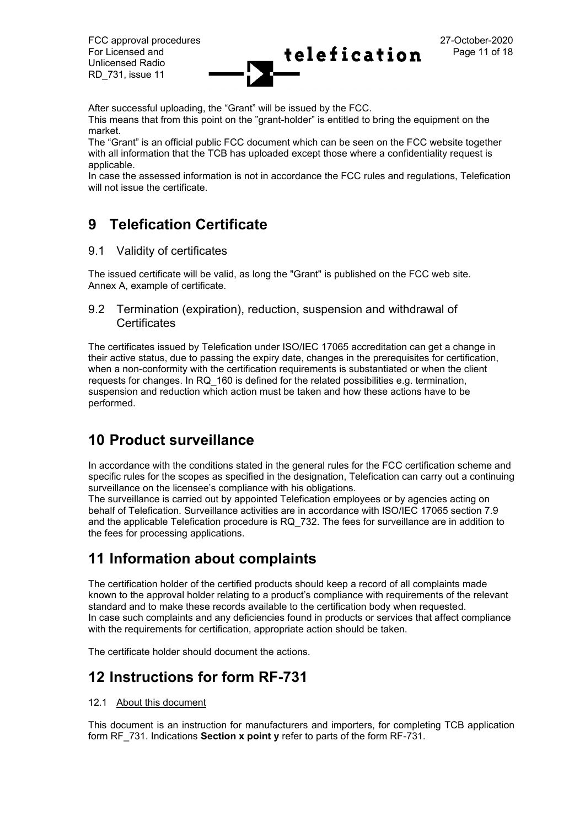FCC approval procedures 27-October-2020 For Licensed and  $\text{telefication}$   $\text{Page 11 of 18}$ Unlicensed Radio RD\_731, issue 11

After successful uploading, the "Grant" will be issued by the FCC.

This means that from this point on the "grant-holder" is entitled to bring the equipment on the market.

The "Grant" is an official public FCC document which can be seen on the FCC website together with all information that the TCB has uploaded except those where a confidentiality request is applicable.

In case the assessed information is not in accordance the FCC rules and regulations, Telefication will not issue the certificate.

# **9 Telefication Certificate**

9.1 Validity of certificates

The issued certificate will be valid, as long the "Grant" is published on the FCC web site. Annex A, example of certificate.

9.2 Termination (expiration), reduction, suspension and withdrawal of **Certificates** 

The certificates issued by Telefication under ISO/IEC 17065 accreditation can get a change in their active status, due to passing the expiry date, changes in the prerequisites for certification, when a non-conformity with the certification requirements is substantiated or when the client requests for changes. In RQ\_160 is defined for the related possibilities e.g. termination, suspension and reduction which action must be taken and how these actions have to be performed.

# **10 Product surveillance**

In accordance with the conditions stated in the general rules for the FCC certification scheme and specific rules for the scopes as specified in the designation, Telefication can carry out a continuing surveillance on the licensee's compliance with his obligations.

The surveillance is carried out by appointed Telefication employees or by agencies acting on behalf of Telefication. Surveillance activities are in accordance with ISO/IEC 17065 section 7.9 and the applicable Telefication procedure is RQ\_732. The fees for surveillance are in addition to the fees for processing applications.

# **11 Information about complaints**

The certification holder of the certified products should keep a record of all complaints made known to the approval holder relating to a product's compliance with requirements of the relevant standard and to make these records available to the certification body when requested. In case such complaints and any deficiencies found in products or services that affect compliance with the requirements for certification, appropriate action should be taken.

The certificate holder should document the actions.

# **12 Instructions for form RF-731**

#### 12.1 About this document

This document is an instruction for manufacturers and importers, for completing TCB application form RF\_731. Indications **Section x point y** refer to parts of the form RF-731.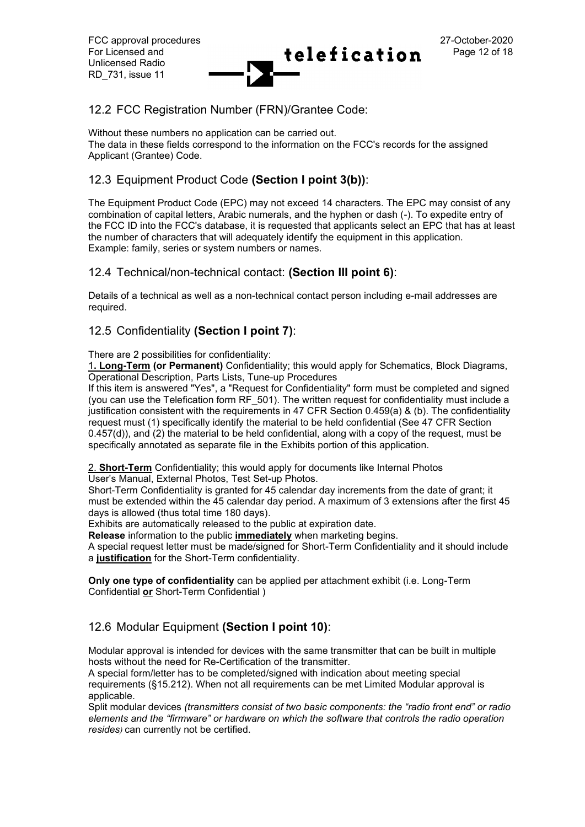### 12.2 FCC Registration Number (FRN)/Grantee Code:

Without these numbers no application can be carried out.

The data in these fields correspond to the information on the FCC's records for the assigned Applicant (Grantee) Code.

### 12.3 Equipment Product Code **(Section I point 3(b))**:

The Equipment Product Code (EPC) may not exceed 14 characters. The EPC may consist of any combination of capital letters, Arabic numerals, and the hyphen or dash (-). To expedite entry of the FCC ID into the FCC's database, it is requested that applicants select an EPC that has at least the number of characters that will adequately identify the equipment in this application. Example: family, series or system numbers or names.

### 12.4 Technical/non-technical contact: **(Section III point 6)**:

Details of a technical as well as a non-technical contact person including e-mail addresses are required.

### 12.5 Confidentiality **(Section I point 7)**:

There are 2 possibilities for confidentiality:

1**. Long-Term (or Permanent)** Confidentiality; this would apply for Schematics, Block Diagrams, Operational Description, Parts Lists, Tune-up Procedures

If this item is answered "Yes", a "Request for Confidentiality" form must be completed and signed (you can use the Telefication form RF\_501). The written request for confidentiality must include a justification consistent with the requirements in 47 CFR Section 0.459(a) & (b). The confidentiality request must (1) specifically identify the material to be held confidential (See 47 CFR Section 0.457(d)), and (2) the material to be held confidential, along with a copy of the request, must be specifically annotated as separate file in the Exhibits portion of this application.

2. **Short-Term** Confidentiality; this would apply for documents like Internal Photos

User's Manual, External Photos, Test Set-up Photos.

Short-Term Confidentiality is granted for 45 calendar day increments from the date of grant; it must be extended within the 45 calendar day period. A maximum of 3 extensions after the first 45 days is allowed (thus total time 180 days).

Exhibits are automatically released to the public at expiration date.

**Release** information to the public **immediately** when marketing begins.

A special request letter must be made/signed for Short-Term Confidentiality and it should include a **justification** for the Short-Term confidentiality.

**Only one type of confidentiality** can be applied per attachment exhibit (i.e. Long-Term Confidential **or** Short-Term Confidential )

### 12.6 Modular Equipment **(Section I point 10)**:

Modular approval is intended for devices with the same transmitter that can be built in multiple hosts without the need for Re-Certification of the transmitter.

A special form/letter has to be completed/signed with indication about meeting special requirements (§15.212). When not all requirements can be met Limited Modular approval is applicable.

Split modular devices *(transmitters consist of two basic components: the "radio front end" or radio elements and the "firmware" or hardware on which the software that controls the radio operation resides)* can currently not be certified.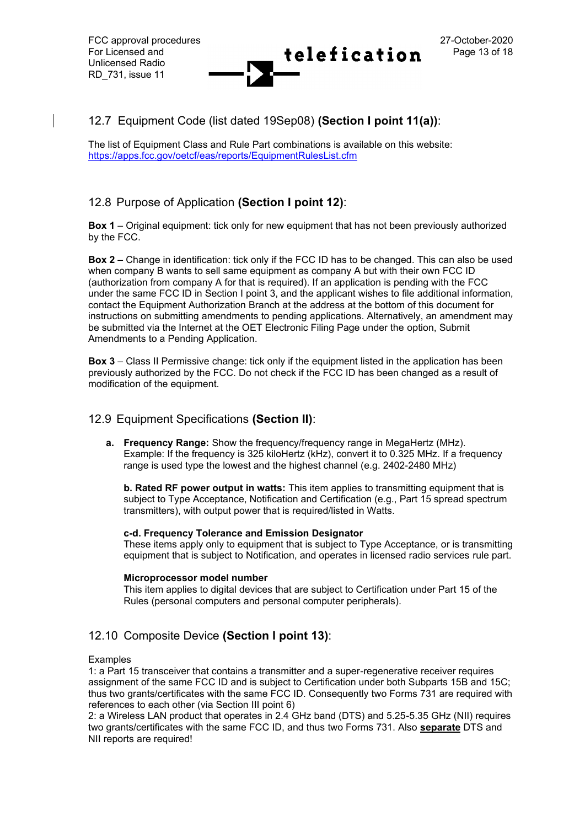### 12.7 Equipment Code (list dated 19Sep08) **(Section I point 11(a))**:

The list of Equipment Class and Rule Part combinations is available on this website: <https://apps.fcc.gov/oetcf/eas/reports/EquipmentRulesList.cfm>

### 12.8 Purpose of Application **(Section I point 12)**:

**Box 1** – Original equipment: tick only for new equipment that has not been previously authorized by the FCC.

**Box 2** – Change in identification: tick only if the FCC ID has to be changed. This can also be used when company B wants to sell same equipment as company A but with their own FCC ID (authorization from company A for that is required). If an application is pending with the FCC under the same FCC ID in Section I point 3, and the applicant wishes to file additional information, contact the Equipment Authorization Branch at the address at the bottom of this document for instructions on submitting amendments to pending applications. Alternatively, an amendment may be submitted via the Internet at the OET Electronic Filing Page under the option, Submit Amendments to a Pending Application.

**Box 3** – Class II Permissive change: tick only if the equipment listed in the application has been previously authorized by the FCC. Do not check if the FCC ID has been changed as a result of modification of the equipment.

### 12.9 Equipment Specifications **(Section II)**:

**a. Frequency Range:** Show the frequency/frequency range in MegaHertz (MHz). Example: If the frequency is 325 kiloHertz (kHz), convert it to 0.325 MHz. If a frequency range is used type the lowest and the highest channel (e.g. 2402-2480 MHz)

**b. Rated RF power output in watts:** This item applies to transmitting equipment that is subject to Type Acceptance, Notification and Certification (e.g., Part 15 spread spectrum transmitters), with output power that is required/listed in Watts.

#### **c-d. Frequency Tolerance and Emission Designator**

These items apply only to equipment that is subject to Type Acceptance, or is transmitting equipment that is subject to Notification, and operates in licensed radio services rule part.

#### **Microprocessor model number**

This item applies to digital devices that are subject to Certification under Part 15 of the Rules (personal computers and personal computer peripherals).

### 12.10 Composite Device **(Section I point 13)**:

#### Examples

1: a Part 15 transceiver that contains a transmitter and a super-regenerative receiver requires assignment of the same FCC ID and is subject to Certification under both Subparts 15B and 15C; thus two grants/certificates with the same FCC ID. Consequently two Forms 731 are required with references to each other (via Section III point 6)

2: a Wireless LAN product that operates in 2.4 GHz band (DTS) and 5.25-5.35 GHz (NII) requires two grants/certificates with the same FCC ID, and thus two Forms 731. Also **separate** DTS and NII reports are required!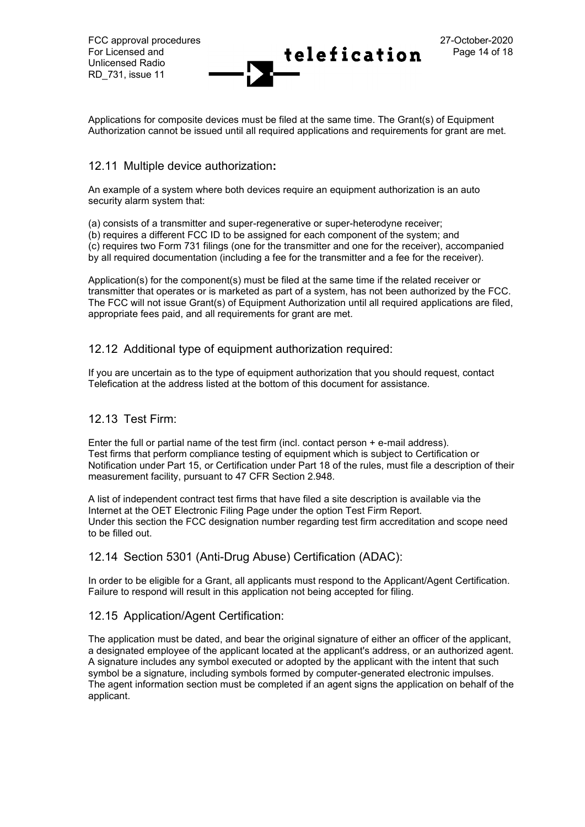Applications for composite devices must be filed at the same time. The Grant(s) of Equipment Authorization cannot be issued until all required applications and requirements for grant are met.

### 12.11 Multiple device authorization**:**

An example of a system where both devices require an equipment authorization is an auto security alarm system that:

(a) consists of a transmitter and super-regenerative or super-heterodyne receiver;

(b) requires a different FCC ID to be assigned for each component of the system; and

(c) requires two Form 731 filings (one for the transmitter and one for the receiver), accompanied by all required documentation (including a fee for the transmitter and a fee for the receiver).

Application(s) for the component(s) must be filed at the same time if the related receiver or transmitter that operates or is marketed as part of a system, has not been authorized by the FCC. The FCC will not issue Grant(s) of Equipment Authorization until all required applications are filed, appropriate fees paid, and all requirements for grant are met.

### 12.12 Additional type of equipment authorization required:

If you are uncertain as to the type of equipment authorization that you should request, contact Telefication at the address listed at the bottom of this document for assistance.

### 12.13 Test Firm:

Enter the full or partial name of the test firm (incl. contact person + e-mail address). Test firms that perform compliance testing of equipment which is subject to Certification or Notification under Part 15, or Certification under Part 18 of the rules, must file a description of their measurement facility, pursuant to 47 CFR Section 2.948.

A list of independent contract test firms that have filed a site description is available via the Internet at the OET Electronic Filing Page under the option Test Firm Report. Under this section the FCC designation number regarding test firm accreditation and scope need to be filled out.

### 12.14 Section 5301 (Anti-Drug Abuse) Certification (ADAC):

In order to be eligible for a Grant, all applicants must respond to the Applicant/Agent Certification. Failure to respond will result in this application not being accepted for filing.

### 12.15 Application/Agent Certification:

The application must be dated, and bear the original signature of either an officer of the applicant, a designated employee of the applicant located at the applicant's address, or an authorized agent. A signature includes any symbol executed or adopted by the applicant with the intent that such symbol be a signature, including symbols formed by computer-generated electronic impulses. The agent information section must be completed if an agent signs the application on behalf of the applicant.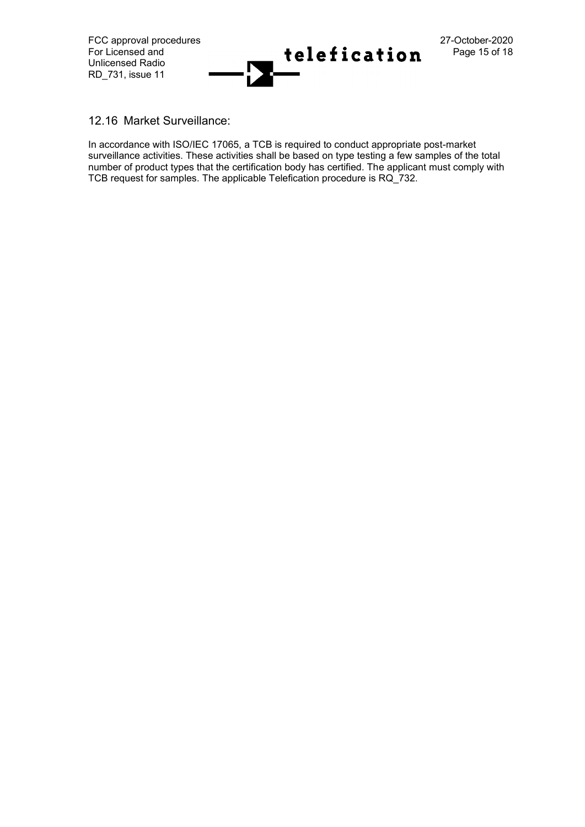

12.16 Market Surveillance:

In accordance with ISO/IEC 17065, a TCB is required to conduct appropriate post-market surveillance activities. These activities shall be based on type testing a few samples of the total number of product types that the certification body has certified. The applicant must comply with TCB request for samples. The applicable Telefication procedure is RQ\_732.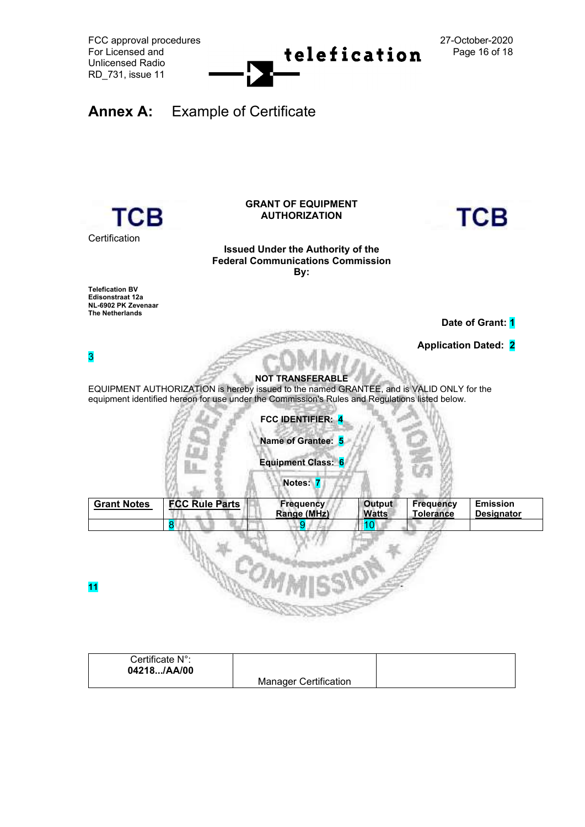



| Certificate N°: |                              |  |
|-----------------|------------------------------|--|
| 04218/AA/00     |                              |  |
|                 | <b>Manager Certification</b> |  |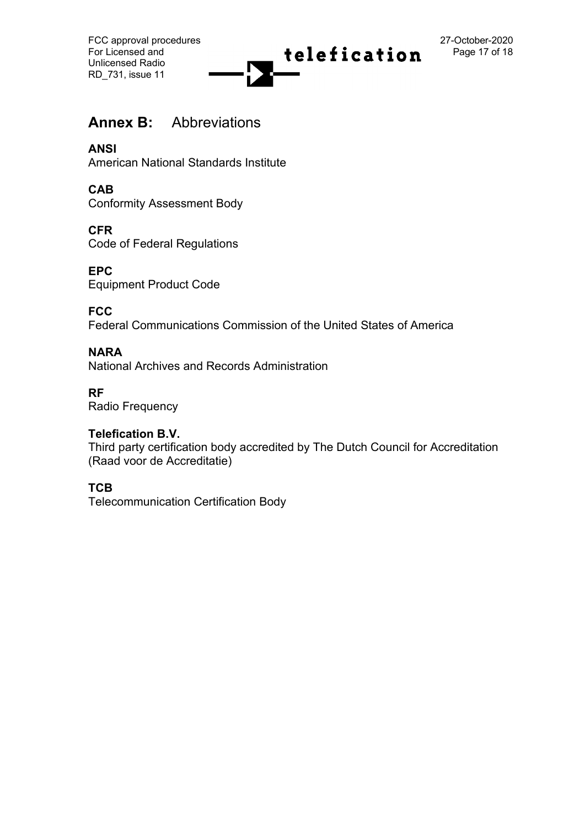FCC approval procedures 27-October-2020<br>
For Licensed and 27-October-2020 Unlicensed Radio RD\_731, issue 11



# **Annex B:** Abbreviations

**ANSI**

American National Standards Institute

**CAB**

Conformity Assessment Body

**CFR**

Code of Federal Regulations

**EPC** Equipment Product Code

**FCC**

Federal Communications Commission of the United States of America

### **NARA**

National Archives and Records Administration

### **RF**

Radio Frequency

### **Telefication B.V.**

Third party certification body accredited by The Dutch Council for Accreditation (Raad voor de Accreditatie)

## **TCB**

Telecommunication Certification Body